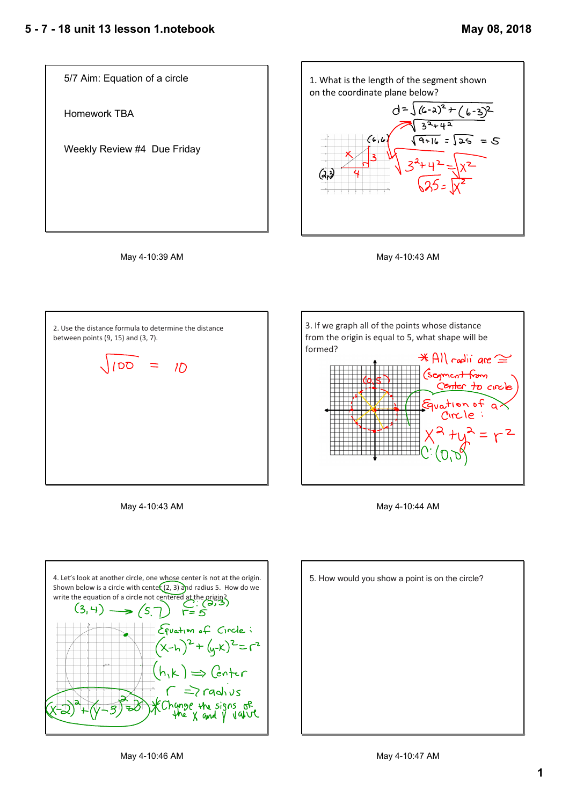







May 4-10:43 AM







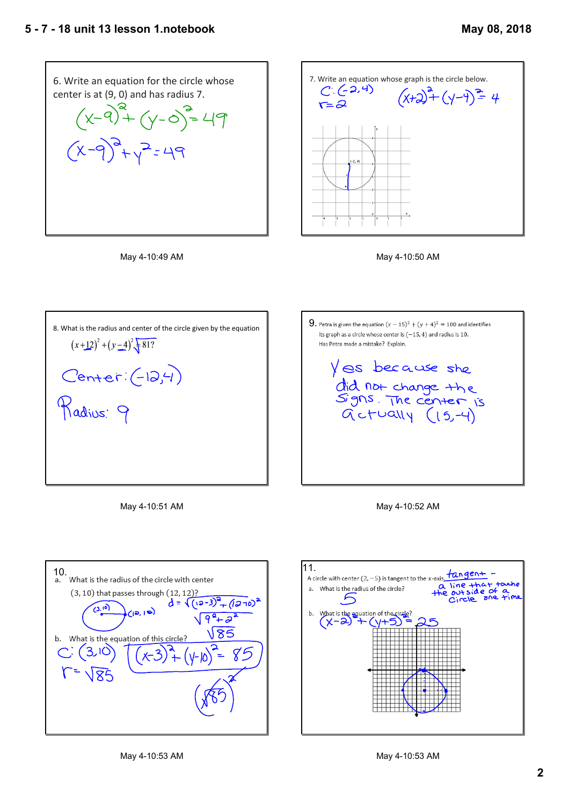

















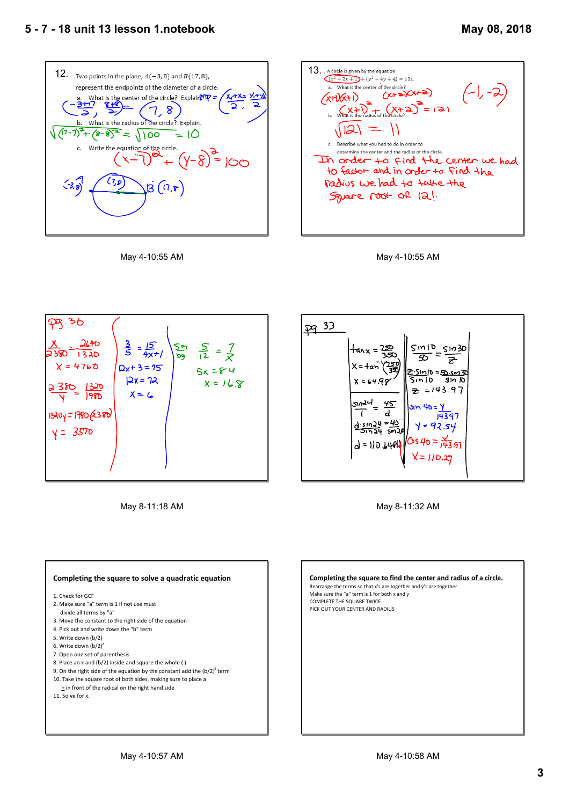











May 8-11:18 AM May 8-11:32 AM

#### **Completing the square to solve a quadratic equation**

1. Check for GCF

- 2. Make sure "a" term is 1 if not use must divide all terms by "a"
- 3. Move the constant to the right side of the equation
- 4. Pick out and write down the "b" term
- 5. Write down (b/2)
- 6. Write down  $(b/2)^2$
- 7. Open one set of parenthesis
- 8. Place an x and (b/2) inside and square the whole ( )
- 9. On the right side of the equation by the constant add the  $(b/2)^2$  term 10. Take the square root of both sides, making sure to place a
- + in front of the radical on the right hand side

11. Solve for x.

**Completing the square to find the center and radius of a circle.** Rearrange the terms so that x's are together and y's are together Make sure the "a" term is 1 for both x and y COMPLETE THE SQUARE TWICE. PICK OUT YOUR CENTER AND RADIUS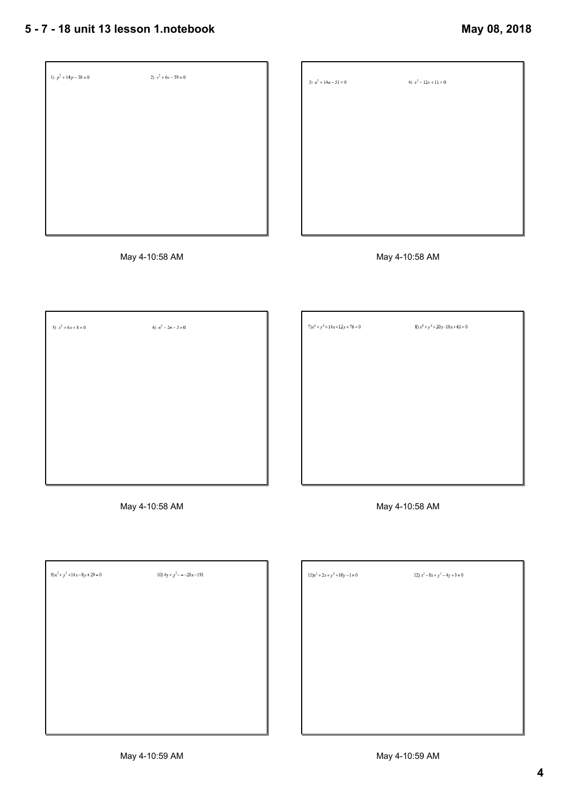| 1) $p^2 + 14p - 38 = 0$ | 2) $v^2 + 6v - 59 = 0$ |
|-------------------------|------------------------|
|                         |                        |
|                         |                        |
|                         |                        |
|                         |                        |
|                         |                        |
|                         |                        |

| 3) $a^2 + 14a - 51 = 0$ | 4) $x^2 - 12x + 11 = 0$ |
|-------------------------|-------------------------|
|                         |                         |
|                         |                         |
|                         |                         |
|                         |                         |
|                         |                         |



 $7)x^2 + y^2 + 14x + 12y + 76 = 0$ 8)  $x^2 + y^2 + 20y - 10x + 61 = 0$ 5)  $x^2 + 6x + 8 = 0$ 6)  $n^2 - 2n - 3 = 0$ 

May 4-10:58 AM May 4-10:58 AM

 $9)x^{2} + y^{2} + 14x - 8y + 29 = 0$ 10)  $4y + y^2 = -28x - 191$ 

| $11)x^2 + 2x + y^2 + 10y - 1 = 0$ | 12) $x^2 - 8x + y^2 - 4y + 3 = 0$ |
|-----------------------------------|-----------------------------------|
|                                   |                                   |
|                                   |                                   |
|                                   |                                   |
|                                   |                                   |
|                                   |                                   |
|                                   |                                   |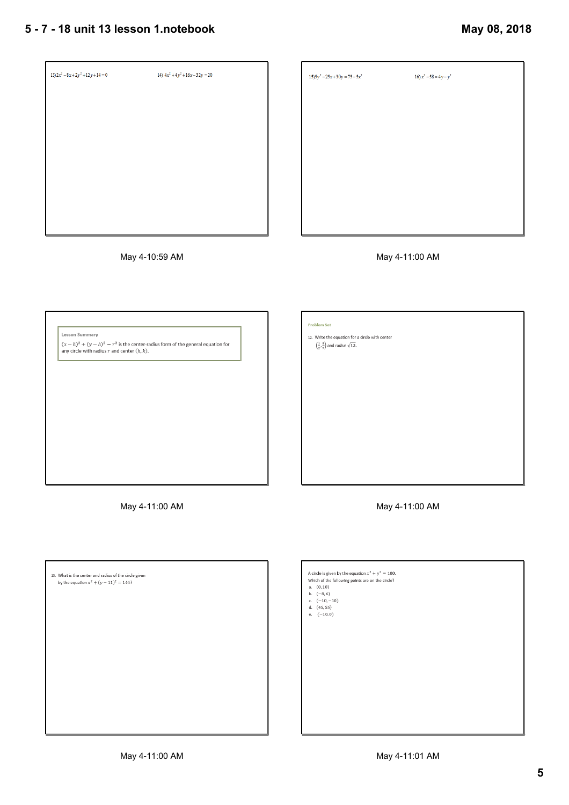# **5 7 18 unit 13 lesson 1.notebook**

# **May 08, 2018**

| $13)2x^2-8x+2y^2+12y+14=0$ | 14) $4x^2 + 4y^2 + 16x - 32y = 20$ |
|----------------------------|------------------------------------|
|                            |                                    |
|                            |                                    |
|                            |                                    |
|                            |                                    |
|                            |                                    |
|                            |                                    |
|                            |                                    |
|                            |                                    |

| $15)5y^2 - 25x + 30y = 75 - 5x^2$ | 16) $x^2 - 58 = 4y - y^2$ |
|-----------------------------------|---------------------------|
|                                   |                           |
|                                   |                           |
|                                   |                           |
|                                   |                           |
|                                   |                           |



| <b>Lesson Summary</b>                                                                                                               | <b>Problem Set</b><br>12. Write the equation for a circle with center |
|-------------------------------------------------------------------------------------------------------------------------------------|-----------------------------------------------------------------------|
| $(x-h)^2 + (y-h)^2 = r^2$ is the center-radius form of the general equation for<br>any circle with radius $r$ and center $(h, k)$ . | $\left(\frac{1}{2},\frac{3}{7}\right)$ and radius $\sqrt{13}$ .       |
|                                                                                                                                     |                                                                       |
|                                                                                                                                     |                                                                       |
|                                                                                                                                     |                                                                       |
|                                                                                                                                     |                                                                       |
|                                                                                                                                     |                                                                       |
| May 4-11:00 AM                                                                                                                      | May 4-11:00 AM                                                        |

| 13. What is the center and radius of the circle given<br>by the equation $x^2 + (y - 11)^2 = 144$ ? |
|-----------------------------------------------------------------------------------------------------|
|                                                                                                     |
|                                                                                                     |
|                                                                                                     |
|                                                                                                     |
|                                                                                                     |

| Which of the following points are on the circle? |  |
|--------------------------------------------------|--|
| a. $(0, 10)$                                     |  |
| b. $(-8, 6)$                                     |  |
| c. $(-10,-10)$                                   |  |
| d. $(45, 55)$                                    |  |
| e. $(-10, 0)$                                    |  |
|                                                  |  |
|                                                  |  |
|                                                  |  |
|                                                  |  |
|                                                  |  |
|                                                  |  |
|                                                  |  |
|                                                  |  |
|                                                  |  |
|                                                  |  |
|                                                  |  |
|                                                  |  |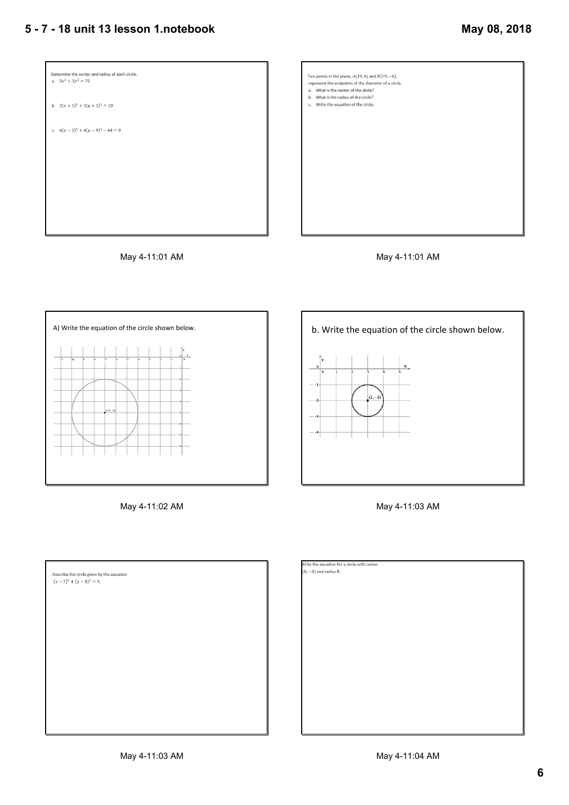### **5 7 18 unit 13 lesson 1.notebook**

# **May 08, 2018**









May 4-11:02 AM



| . Describe the circle given by the equation |  |
|---------------------------------------------|--|
| $(x-7)^2 + (y-8)^2 = 9.$                    |  |
|                                             |  |
|                                             |  |
|                                             |  |
|                                             |  |
|                                             |  |
|                                             |  |
|                                             |  |